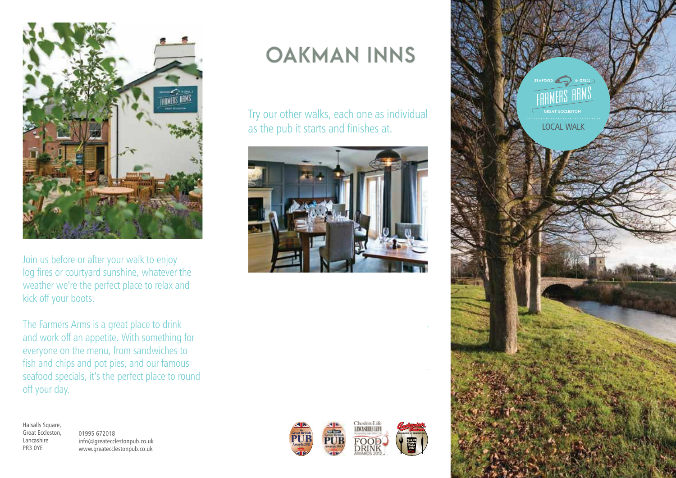

Join us before or after your walk to enjoy log fires or courtyard sunshine, whatever the weather we're the perfect place to relax and kick off your boots.

The Farmers Arms is a great place to drink and work off an appetite. With something for everyone on the menu, from sandwiches to fish and chips and pot pies, and our famous seafood specials, it's the perfect place to round off your day.

Halsalls Square, Great Eccleston, Lancashire PR3 0YE

01995 672018 info@greatecclestonpub.co.uk www.greatecclestonpub.co.uk

## **OAKMAN INNS**

Try our other walks, each one as individual as the pub it starts and finishes at.